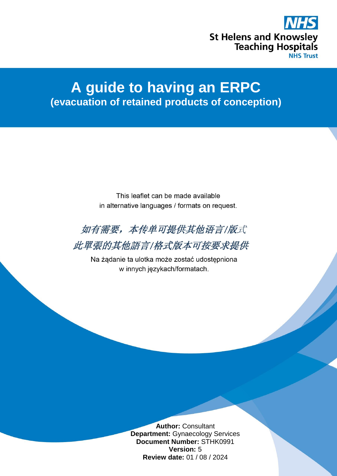

# **A guide to having an ERPC (evacuation of retained products of conception)**

This leaflet can be made available in alternative languages / formats on request.



此單張的其他語言/格式版本可按要求提供

Na żądanie ta ulotka może zostać udostępniona w innych językach/formatach.

> **Author:** Consultant **Department:** Gynaecology Services **Document Number:** STHK0991 **Version:** 5 **Review date:** 01 / 08 / 2024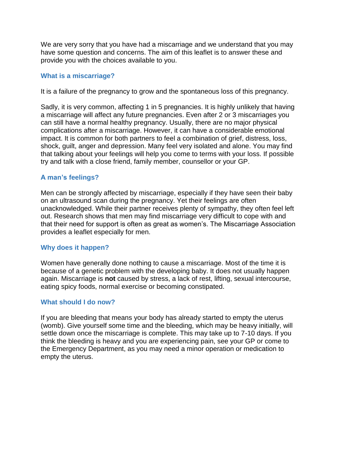We are very sorry that you have had a miscarriage and we understand that you may have some question and concerns. The aim of this leaflet is to answer these and provide you with the choices available to you.

# **What is a miscarriage?**

It is a failure of the pregnancy to grow and the spontaneous loss of this pregnancy.

Sadly, it is very common, affecting 1 in 5 pregnancies. It is highly unlikely that having a miscarriage will affect any future pregnancies. Even after 2 or 3 miscarriages you can still have a normal healthy pregnancy. Usually, there are no major physical complications after a miscarriage. However, it can have a considerable emotional impact. It is common for both partners to feel a combination of grief, distress, loss, shock, guilt, anger and depression. Many feel very isolated and alone. You may find that talking about your feelings will help you come to terms with your loss. If possible try and talk with a close friend, family member, counsellor or your GP.

## **A man's feelings?**

Men can be strongly affected by miscarriage, especially if they have seen their baby on an ultrasound scan during the pregnancy. Yet their feelings are often unacknowledged. While their partner receives plenty of sympathy, they often feel left out. Research shows that men may find miscarriage very difficult to cope with and that their need for support is often as great as women's. The Miscarriage Association provides a leaflet especially for men.

## **Why does it happen?**

Women have generally done nothing to cause a miscarriage. Most of the time it is because of a genetic problem with the developing baby. It does not usually happen again. Miscarriage is **not** caused by stress, a lack of rest, lifting, sexual intercourse, eating spicy foods, normal exercise or becoming constipated.

## **What should I do now?**

If you are bleeding that means your body has already started to empty the uterus (womb). Give yourself some time and the bleeding, which may be heavy initially, will settle down once the miscarriage is complete. This may take up to 7-10 days. If you think the bleeding is heavy and you are experiencing pain, see your GP or come to the Emergency Department, as you may need a minor operation or medication to empty the uterus.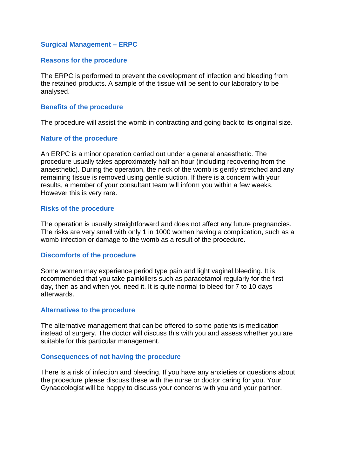## **Surgical Management – ERPC**

#### **Reasons for the procedure**

The ERPC is performed to prevent the development of infection and bleeding from the retained products. A sample of the tissue will be sent to our laboratory to be analysed.

## **Benefits of the procedure**

The procedure will assist the womb in contracting and going back to its original size.

#### **Nature of the procedure**

An ERPC is a minor operation carried out under a general anaesthetic. The procedure usually takes approximately half an hour (including recovering from the anaesthetic). During the operation, the neck of the womb is gently stretched and any remaining tissue is removed using gentle suction. If there is a concern with your results, a member of your consultant team will inform you within a few weeks. However this is very rare.

#### **Risks of the procedure**

The operation is usually straightforward and does not affect any future pregnancies. The risks are very small with only 1 in 1000 women having a complication, such as a womb infection or damage to the womb as a result of the procedure.

## **Discomforts of the procedure**

Some women may experience period type pain and light vaginal bleeding. It is recommended that you take painkillers such as paracetamol regularly for the first day, then as and when you need it. It is quite normal to bleed for 7 to 10 days afterwards.

#### **Alternatives to the procedure**

The alternative management that can be offered to some patients is medication instead of surgery. The doctor will discuss this with you and assess whether you are suitable for this particular management.

#### **Consequences of not having the procedure**

There is a risk of infection and bleeding. If you have any anxieties or questions about the procedure please discuss these with the nurse or doctor caring for you. Your Gynaecologist will be happy to discuss your concerns with you and your partner.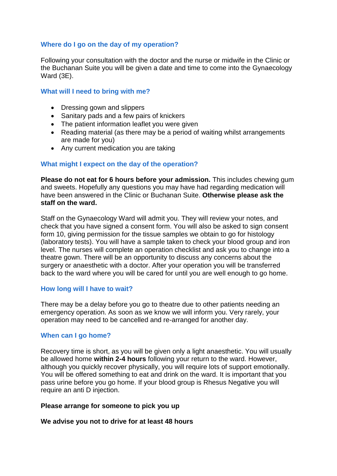# **Where do I go on the day of my operation?**

Following your consultation with the doctor and the nurse or midwife in the Clinic or the Buchanan Suite you will be given a date and time to come into the Gynaecology Ward (3E).

## **What will I need to bring with me?**

- Dressing gown and slippers
- Sanitary pads and a few pairs of knickers
- The patient information leaflet you were given
- Reading material (as there may be a period of waiting whilst arrangements are made for you)
- Any current medication you are taking

## **What might I expect on the day of the operation?**

**Please do not eat for 6 hours before your admission.** This includes chewing gum and sweets. Hopefully any questions you may have had regarding medication will have been answered in the Clinic or Buchanan Suite. **Otherwise please ask the staff on the ward.**

Staff on the Gynaecology Ward will admit you. They will review your notes, and check that you have signed a consent form. You will also be asked to sign consent form 10, giving permission for the tissue samples we obtain to go for histology (laboratory tests). You will have a sample taken to check your blood group and iron level. The nurses will complete an operation checklist and ask you to change into a theatre gown. There will be an opportunity to discuss any concerns about the surgery or anaesthetic with a doctor. After your operation you will be transferred back to the ward where you will be cared for until you are well enough to go home.

## **How long will I have to wait?**

There may be a delay before you go to theatre due to other patients needing an emergency operation. As soon as we know we will inform you. Very rarely, your operation may need to be cancelled and re-arranged for another day.

## **When can I go home?**

Recovery time is short, as you will be given only a light anaesthetic. You will usually be allowed home **within 2-4 hours** following your return to the ward. However, although you quickly recover physically, you will require lots of support emotionally. You will be offered something to eat and drink on the ward. It is important that you pass urine before you go home. If your blood group is Rhesus Negative you will require an anti D injection.

## **Please arrange for someone to pick you up**

## **We advise you not to drive for at least 48 hours**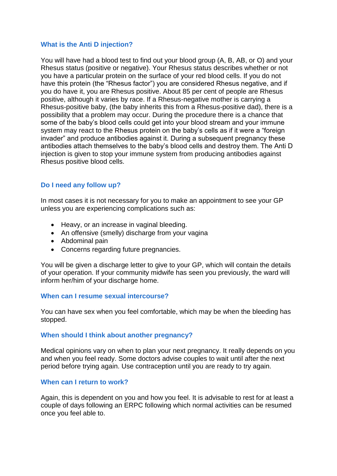## **What is the Anti D injection?**

You will have had a blood test to find out your blood group (A, B, AB, or O) and your Rhesus status (positive or negative). Your Rhesus status describes whether or not you have a particular protein on the surface of your red blood cells. If you do not have this protein (the "Rhesus factor") you are considered Rhesus negative, and if you do have it, you are Rhesus positive. About 85 per cent of people are Rhesus positive, although it varies by race. If a Rhesus-negative mother is carrying a Rhesus-positive baby, (the baby inherits this from a Rhesus-positive dad), there is a possibility that a problem may occur. During the procedure there is a chance that some of the baby's blood cells could get into your blood stream and your immune system may react to the Rhesus protein on the baby's cells as if it were a "foreign invader" and produce antibodies against it. During a subsequent pregnancy these antibodies attach themselves to the baby's blood cells and destroy them. The Anti D injection is given to stop your immune system from producing antibodies against Rhesus positive blood cells.

# **Do I need any follow up?**

In most cases it is not necessary for you to make an appointment to see your GP unless you are experiencing complications such as:

- Heavy, or an increase in vaginal bleeding.
- An offensive (smelly) discharge from your vagina
- Abdominal pain
- Concerns regarding future pregnancies.

You will be given a discharge letter to give to your GP, which will contain the details of your operation. If your community midwife has seen you previously, the ward will inform her/him of your discharge home.

## **When can I resume sexual intercourse?**

You can have sex when you feel comfortable, which may be when the bleeding has stopped.

## **When should I think about another pregnancy?**

Medical opinions vary on when to plan your next pregnancy. It really depends on you and when you feel ready. Some doctors advise couples to wait until after the next period before trying again. Use contraception until you are ready to try again.

## **When can I return to work?**

Again, this is dependent on you and how you feel. It is advisable to rest for at least a couple of days following an ERPC following which normal activities can be resumed once you feel able to.